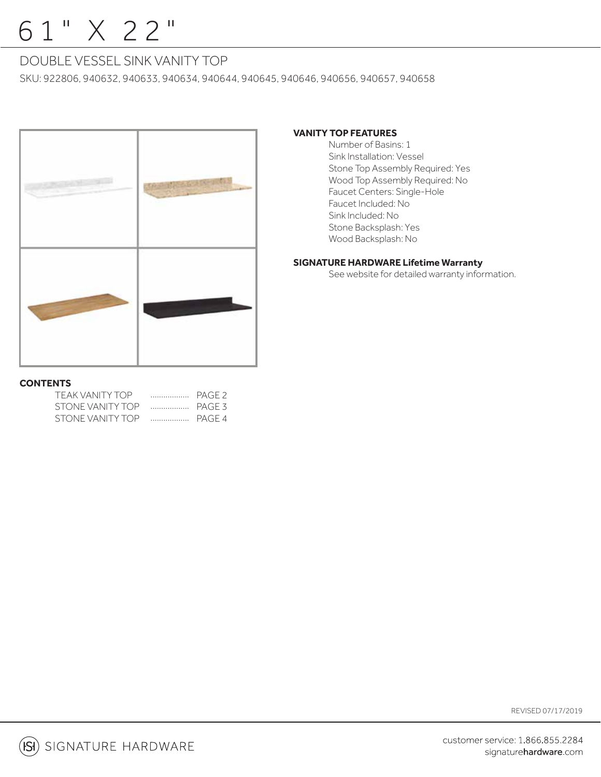# 61" X 22"

# DOUBLE VESSEL SINK VANITY TOP

SKU: 922806, 940632, 940633, 940634, 940644, 940645, 940646, 940656, 940657, 940658



## **VANITY TOP FEATURES**

 Number of Basins: 1 Sink Installation: Vessel Stone Top Assembly Required: Yes Wood Top Assembly Required: No Faucet Centers: Single-Hole Faucet Included: No Sink Included: No Stone Backsplash: Yes Wood Backsplash: No

## **SIGNATURE HARDWARE Lifetime Warranty**

See website for detailed warranty information.

### **CONTENTS**

| TEAK VANITY TOP  | .      | PAGE 2 |
|------------------|--------|--------|
| STONE VANITY TOP | PAGF3  |        |
| STONE VANITY TOP | PAGF 4 |        |

REVISED 07/17/2019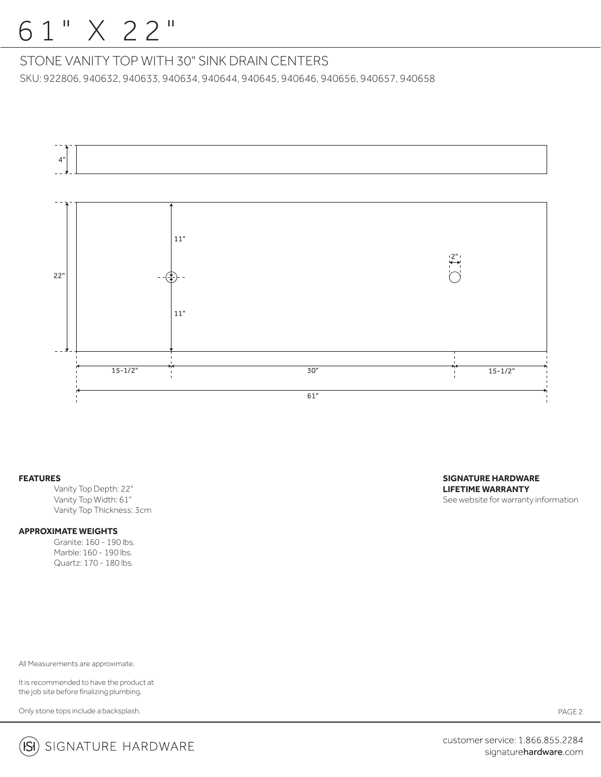# 61" X 22"

## STONE VANITY TOP WITH 30" SINK DRAIN CENTERS

SKU: 922806, 940632, 940633, 940634, 940644, 940645, 940646, 940656, 940657, 940658



#### **FEATURES**

 Vanity Top Depth: 22" Vanity Top Width: 61" Vanity Top Thickness: 3cm

### **APPROXIMATE WEIGHTS**

 Granite: 160 - 190 lbs. Marble: 160 - 190 lbs. Quartz: 170 - 180 lbs.

All Measurements are approximate.

It is recommended to have the product at the job site before finalizing plumbing.

Only stone tops include a backsplash.